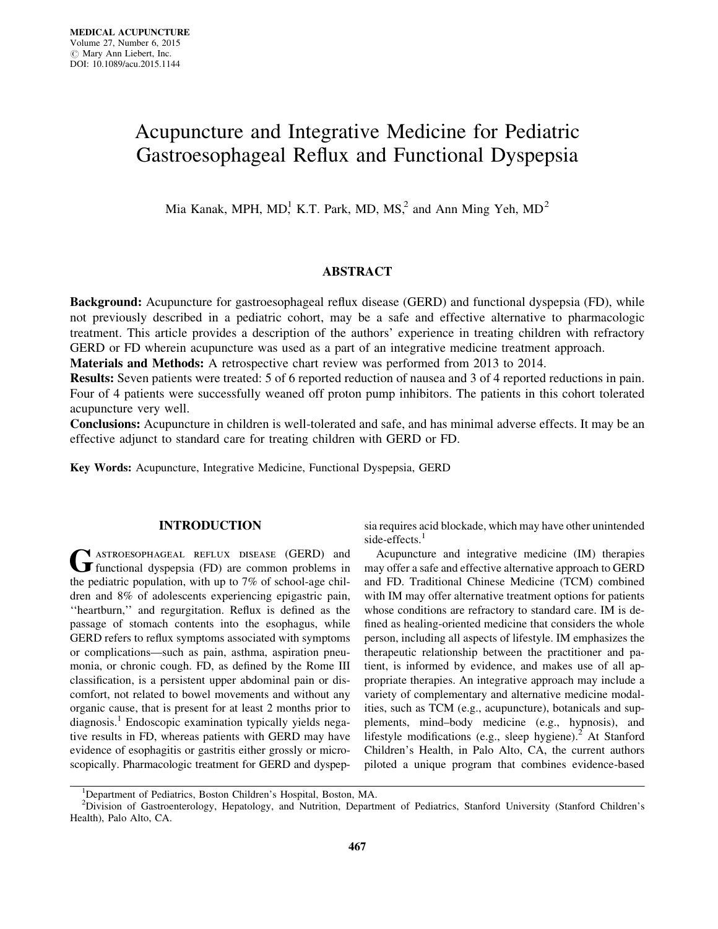# Acupuncture and Integrative Medicine for Pediatric Gastroesophageal Reflux and Functional Dyspepsia

Mia Kanak, MPH, MD, K.T. Park, MD, MS,<sup>2</sup> and Ann Ming Yeh, MD<sup>2</sup>

# ABSTRACT

Background: Acupuncture for gastroesophageal reflux disease (GERD) and functional dyspepsia (FD), while not previously described in a pediatric cohort, may be a safe and effective alternative to pharmacologic treatment. This article provides a description of the authors' experience in treating children with refractory GERD or FD wherein acupuncture was used as a part of an integrative medicine treatment approach.

Materials and Methods: A retrospective chart review was performed from 2013 to 2014.

Results: Seven patients were treated: 5 of 6 reported reduction of nausea and 3 of 4 reported reductions in pain. Four of 4 patients were successfully weaned off proton pump inhibitors. The patients in this cohort tolerated acupuncture very well.

Conclusions: Acupuncture in children is well-tolerated and safe, and has minimal adverse effects. It may be an effective adjunct to standard care for treating children with GERD or FD.

Key Words: Acupuncture, Integrative Medicine, Functional Dyspepsia, GERD

# INTRODUCTION

GASTROESOPHAGEAL REFLUX DISEASE (GERD) and functional dyspepsia (FD) are common problems in the pediatric population, with up to 7% of school-age children and 8% of adolescents experiencing epigastric pain, ''heartburn,'' and regurgitation. Reflux is defined as the passage of stomach contents into the esophagus, while GERD refers to reflux symptoms associated with symptoms or complications—such as pain, asthma, aspiration pneumonia, or chronic cough. FD, as defined by the Rome III classification, is a persistent upper abdominal pain or discomfort, not related to bowel movements and without any organic cause, that is present for at least 2 months prior to  $diagnostic$  examination typically yields negative results in FD, whereas patients with GERD may have evidence of esophagitis or gastritis either grossly or microscopically. Pharmacologic treatment for GERD and dyspepsia requires acid blockade, which may have other unintended side-effects.<sup>1</sup>

Acupuncture and integrative medicine (IM) therapies may offer a safe and effective alternative approach to GERD and FD. Traditional Chinese Medicine (TCM) combined with IM may offer alternative treatment options for patients whose conditions are refractory to standard care. IM is defined as healing-oriented medicine that considers the whole person, including all aspects of lifestyle. IM emphasizes the therapeutic relationship between the practitioner and patient, is informed by evidence, and makes use of all appropriate therapies. An integrative approach may include a variety of complementary and alternative medicine modalities, such as TCM (e.g., acupuncture), botanicals and supplements, mind–body medicine (e.g., hypnosis), and lifestyle modifications (e.g., sleep hygiene).<sup>2</sup> At Stanford Children's Health, in Palo Alto, CA, the current authors piloted a unique program that combines evidence-based

<sup>&</sup>lt;sup>1</sup>Department of Pediatrics, Boston Children's Hospital, Boston, MA.

<sup>&</sup>lt;sup>2</sup>Division of Gastroenterology, Hepatology, and Nutrition, Department of Pediatrics, Stanford University (Stanford Children's Health), Palo Alto, CA.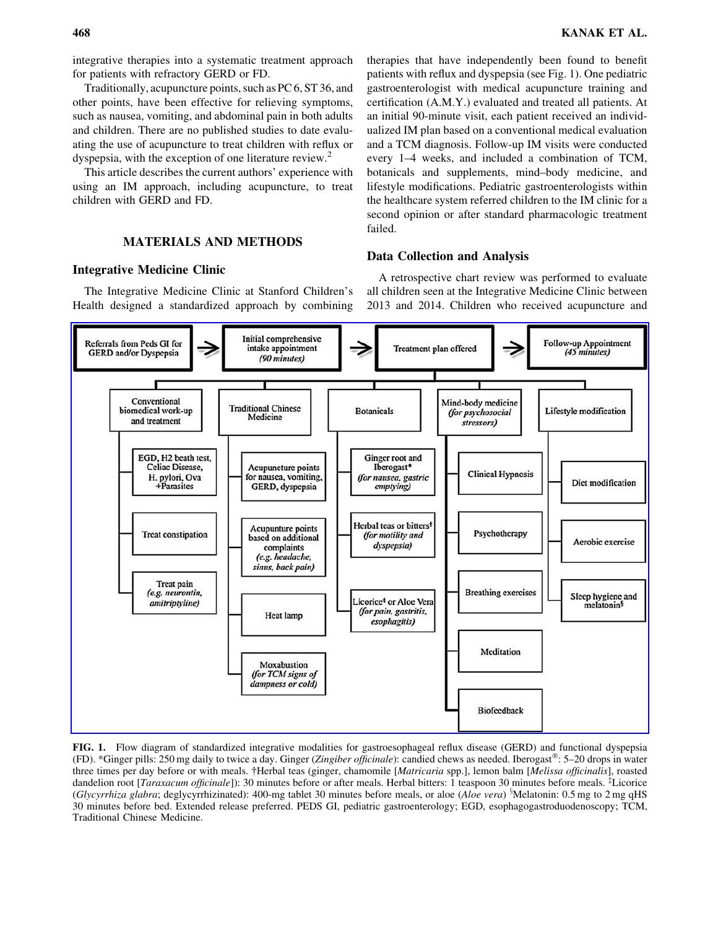integrative therapies into a systematic treatment approach for patients with refractory GERD or FD.

Traditionally, acupuncture points, such as PC 6, ST 36, and other points, have been effective for relieving symptoms, such as nausea, vomiting, and abdominal pain in both adults and children. There are no published studies to date evaluating the use of acupuncture to treat children with reflux or dyspepsia, with the exception of one literature review.<sup>2</sup>

This article describes the current authors' experience with using an IM approach, including acupuncture, to treat children with GERD and FD.

# MATERIALS AND METHODS

## Integrative Medicine Clinic

The Integrative Medicine Clinic at Stanford Children's Health designed a standardized approach by combining therapies that have independently been found to benefit patients with reflux and dyspepsia (see Fig. 1). One pediatric gastroenterologist with medical acupuncture training and certification (A.M.Y.) evaluated and treated all patients. At an initial 90-minute visit, each patient received an individualized IM plan based on a conventional medical evaluation and a TCM diagnosis. Follow-up IM visits were conducted every 1–4 weeks, and included a combination of TCM, botanicals and supplements, mind–body medicine, and lifestyle modifications. Pediatric gastroenterologists within the healthcare system referred children to the IM clinic for a second opinion or after standard pharmacologic treatment failed.

# Data Collection and Analysis

A retrospective chart review was performed to evaluate all children seen at the Integrative Medicine Clinic between 2013 and 2014. Children who received acupuncture and



FIG. 1. Flow diagram of standardized integrative modalities for gastroesophageal reflux disease (GERD) and functional dyspepsia (FD). \*Ginger pills: 250 mg daily to twice a day. Ginger (Zingiber officinale): candied chews as needed. Iberogast<sup>®</sup>: 5–20 drops in water three times per day before or with meals. †Herbal teas (ginger, chamomile [*Matricaria* spp.], lemon balm [*Melissa officinalis*], roasted dandelion root [*Taraxacum officinale*]): 30 minutes before or after meals. Herbal bitters: 1 teaspoon 30 minutes before meals. <sup>‡</sup>Licorice (Glycyrrhiza glabra; deglycyrrhizinated): 400-mg tablet 30 minutes before meals, or aloe (Aloe vera) <sup>3</sup>Melatonin: 0.5 mg to 2 mg qHS 30 minutes before bed. Extended release preferred. PEDS GI, pediatric gastroenterology; EGD, esophagogastroduodenoscopy; TCM, Traditional Chinese Medicine.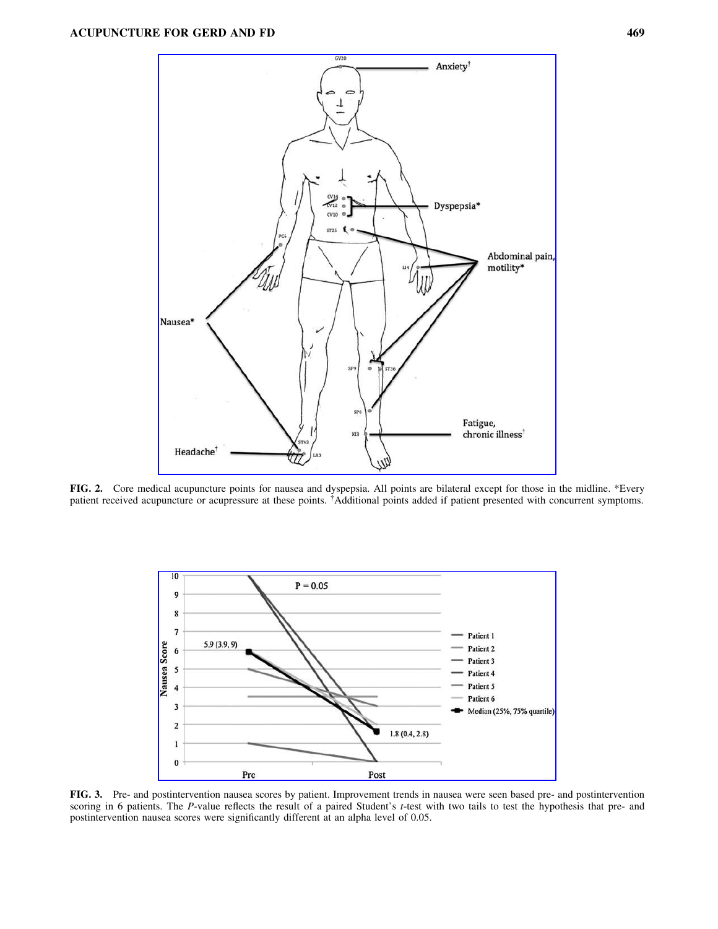

FIG. 2. Core medical acupuncture points for nausea and dyspepsia. All points are bilateral except for those in the midline. \*Every patient received acupuncture or acupressure at these points. †Additional points added if patient presented with concurrent symptoms.



FIG. 3. Pre- and postintervention nausea scores by patient. Improvement trends in nausea were seen based pre- and postintervention scoring in 6 patients. The P-value reflects the result of a paired Student's t-test with two tails to test the hypothesis that pre- and postintervention nausea scores were significantly different at an alpha level of 0.05.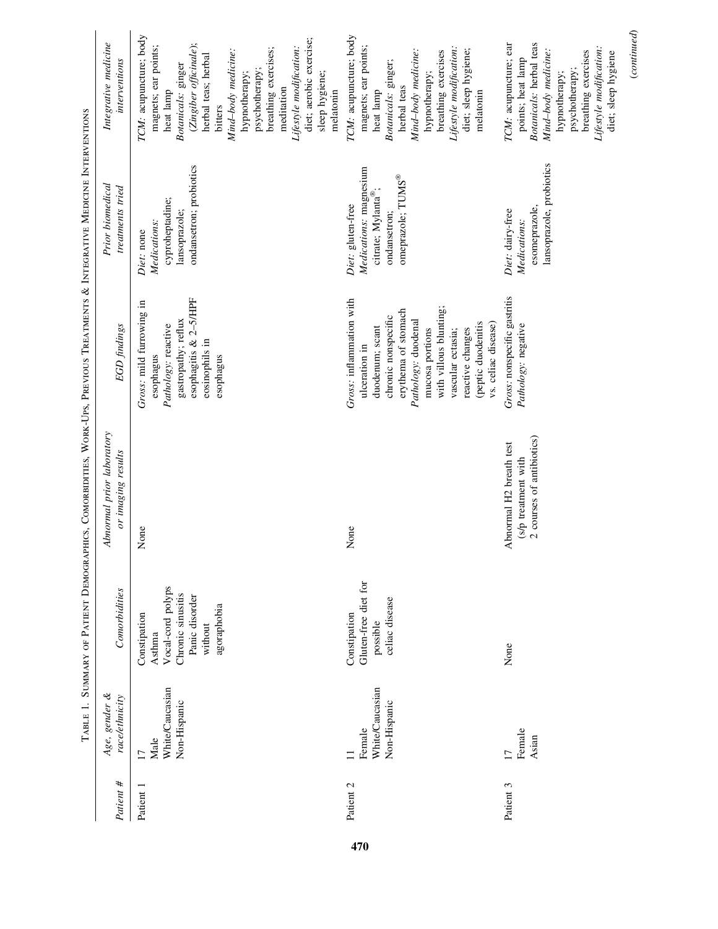|           |                                                            |                                                                                                              | TABLE 1. SUMMARY OF PATIENT DEMOGRAPHICS, COMORBIDITIES, WORK-UPS, PREVIOUS TREATMENTS & INTEGRATIVE MEDICINE INTERVENTIONS |                                                                                                                                                                                                                                                                      |                                                                                                        |                                                                                                                                                                                                                                                                                                                                    |
|-----------|------------------------------------------------------------|--------------------------------------------------------------------------------------------------------------|-----------------------------------------------------------------------------------------------------------------------------|----------------------------------------------------------------------------------------------------------------------------------------------------------------------------------------------------------------------------------------------------------------------|--------------------------------------------------------------------------------------------------------|------------------------------------------------------------------------------------------------------------------------------------------------------------------------------------------------------------------------------------------------------------------------------------------------------------------------------------|
| Patient # | Age, gender &<br>race/ethnicity                            | Comorbidities                                                                                                | Abnormal prior laboratory<br>or imaging results                                                                             | EGD findings                                                                                                                                                                                                                                                         | Prior biomedical<br>treatments tried                                                                   | Integrative medicine<br>interventions                                                                                                                                                                                                                                                                                              |
| Patient 1 | White/Caucasian<br>Non-Hispanic<br>Male<br>$\overline{17}$ | Vocal-cord polyps<br>Chronic sinusitis<br>Panic disorder<br>agoraphobia<br>Constipation<br>without<br>Asthma | None                                                                                                                        | esophagitis & 2-5/HPF<br>Gross: mild furrowing in<br>gastropathy; reflux<br>Pathology: reactive<br>eosinophils in<br>esophagus<br>esophagus                                                                                                                          | ondansetron; probiotics<br>cyproheptadine;<br>lansoprazole;<br>Medications:<br>Diet: none              | TCM: acupuncture; body<br>diet; aerobic exercise;<br>(Zingiber officinale);<br>magnets; ear points;<br>Lifestyle modification:<br>breathing exercises;<br>Mind-body medicine:<br>herbal teas; herbal<br>Botanicals: ginger<br>psychotherapy;<br>sleep hygiene;<br>hypnotherapy;<br>meditation<br>melatonin<br>heat lamp<br>bitters |
| Patient 2 | White/Caucasian<br>Non-Hispanic<br>Female<br>ロ             | Gluten-free diet for<br>celiac disease<br>Constipation<br>possible                                           | None                                                                                                                        | Gross: inflammation with<br>with villous blunting;<br>erythema of stomach<br>chronic nonspecific<br>Pathology: duodenal<br>(peptic duodenitis<br>vs. celiac disease)<br>duodenum; scant<br>mucosa portions<br>reactive changes<br>vascular ectasia;<br>ulceration in | Medications: magnesium<br>omeprazole; TUMS®<br>citrate; Mylanta®;<br>Diet: gluten-free<br>ondansetron; | TCM: acupuncture; body<br>magnets; ear points;<br>Lifestyle modification:<br>diet; sleep hygiene;<br>Mind-body medicine:<br>breathing exercises<br>Botanicals: ginger;<br>hypnotherapy;<br>herbal teas<br>heat lamp<br>melatonin                                                                                                   |
| Patient 3 | Female<br>Asian<br>$\overline{17}$                         | None                                                                                                         | 2 courses of antibiotics)<br>Abnormal H2 breath test<br>(s/p treatment with                                                 | Gross: nonspecific gastritis<br>Pathology: negative                                                                                                                                                                                                                  | lansoprazole, probiotics<br>esomeprazole,<br>Diet: dairy-free<br>Medications:                          | (continued)<br>Botanicals: herbal teas<br>TCM: acupuncture; ear<br>Lifestyle modification:<br>Mind-body medicine:<br>breathing exercises<br>diet; sleep hygiene<br>points; heat lamp<br>psychotherapy;<br>hypnotherapy;                                                                                                            |

470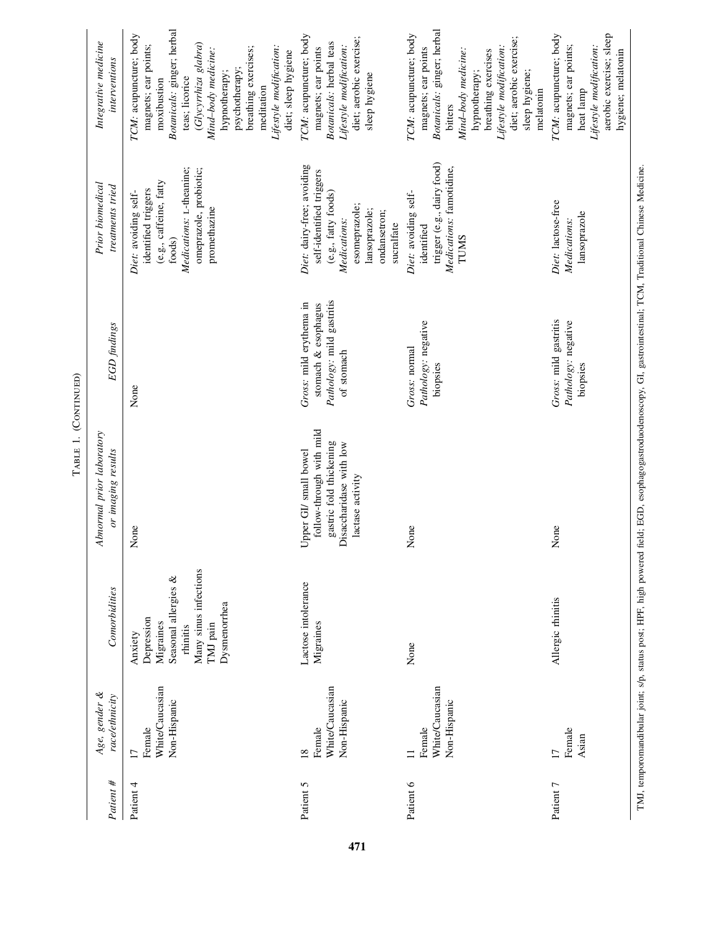|           |                                                              |                                                                                                                             | TABLE 1. (CONTINUED)                                                                                                        |                                                                                           |                                                                                                                                                               |                                                                                                                                                                                                                                                                                         |
|-----------|--------------------------------------------------------------|-----------------------------------------------------------------------------------------------------------------------------|-----------------------------------------------------------------------------------------------------------------------------|-------------------------------------------------------------------------------------------|---------------------------------------------------------------------------------------------------------------------------------------------------------------|-----------------------------------------------------------------------------------------------------------------------------------------------------------------------------------------------------------------------------------------------------------------------------------------|
| Patient # | Age, gender &<br>race/ethnicity                              | Conorbidities                                                                                                               | Abnormal prior laboratory<br>or imaging results                                                                             | EGD findings                                                                              | Prior biomedical<br>treatments tried                                                                                                                          | Integrative medicine<br>interventions                                                                                                                                                                                                                                                   |
| Patient 4 | White/Caucasian<br>Non-Hispanic<br>Female<br>$\overline{17}$ | Many sinus infections<br>Seasonal allergies &<br>Dysmenorrhea<br>Depression<br>Migraines<br>TMJ pain<br>rhinitis<br>Anxiety | None                                                                                                                        | None                                                                                      | Medications: L-theanine;<br>omeprazole, probiotic;<br>(e.g., caffeine, fatty<br>identified triggers<br>Diet: avoiding self-<br>promethazine<br>foods)         | Botanicals: ginger; herbal<br>TCM: acupuncture; body<br>(Glycyrrhiza glabra)<br>magnets; ear points;<br>Lifestyle modification:<br>breathing exercises;<br>Mind-body medicine:<br>diet; sleep hygiene<br>psychotherapy;<br>hypnotherapy;<br>teas; licorice<br>moxibustion<br>meditation |
| Patient 5 | White/Caucasian<br>Non-Hispanic<br>Female<br>$\frac{8}{18}$  | Lactose intolerance<br>Migraines                                                                                            | follow-through with mild<br>gastric fold thickening<br>Disaccharidase with low<br>Upper GI/ small bowel<br>lactase activity | Pathology: mild gastritis<br>Gross: mild erythema in<br>stomach & esophagus<br>of stomach | Diet: dairy-free; avoiding<br>self-identified triggers<br>(e.g., fatty foods)<br>esomeprazole;<br>lansoprazole;<br>ondansetron;<br>Medications:<br>sucralfate | TCM: acupuncture; body<br>diet; aerobic exercise;<br>Botanicals: herbal teas<br>Lifestyle modification:<br>magnets; ear points<br>sleep hygiene                                                                                                                                         |
| Patient 6 | White/Caucasian<br>Non-Hispanic<br>Female                    | None                                                                                                                        | None                                                                                                                        | Pathology: negative<br>Gross: normal<br>biopsies                                          | trigger (e.g., dairy food)<br>Medications: famotidine,<br>Diet: avoiding self-<br>identified<br><b>TUMS</b>                                                   | Botanicals: ginger; herbal<br>TCM: acupuncture; body<br>diet; aerobic exercise;<br>magnets; ear points<br>Lifestyle modification:<br>Mind-body medicine:<br>breathing exercises<br>sleep hygiene;<br>hypnotherapy;<br>melatonin<br>bitters                                              |
| Patient 7 | Female<br>Asian<br>$\overline{17}$                           | Allergic rhinitis                                                                                                           | None                                                                                                                        | Gross: mild gastritis<br>Pathology: negative<br>biopsies                                  | Diet: lactose-free<br>lansoprazole<br>Medications:                                                                                                            | aerobic exercise; sleep<br>TCM: acupuncture; body<br>magnets; ear points;<br>Lifestyle modification:<br>hygiene; melatonin<br>heat lamp                                                                                                                                                 |
|           |                                                              |                                                                                                                             |                                                                                                                             |                                                                                           |                                                                                                                                                               |                                                                                                                                                                                                                                                                                         |

TMJ, temporomandibular joint; s/p, status post; HPF, high powered field; EGD, esophagogastroduodenoscopy, GJ, gastrointestinal; TCM, Traditional Chinese Medicine. TMJ, temporomandibular joint; s/p, status post; HPF, high powered field; EGD, esophagogastroduodenoscopy, GI, gastrointestinal; TCM, Traditional Chinese Medicine.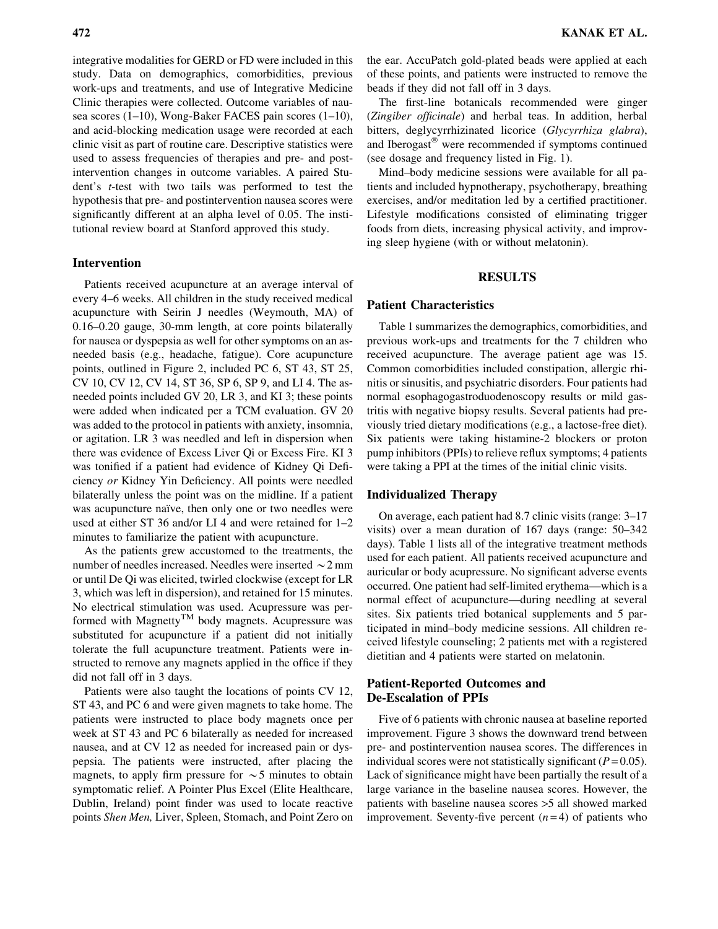integrative modalities for GERD or FD were included in this study. Data on demographics, comorbidities, previous work-ups and treatments, and use of Integrative Medicine Clinic therapies were collected. Outcome variables of nausea scores (1–10), Wong-Baker FACES pain scores (1–10), and acid-blocking medication usage were recorded at each clinic visit as part of routine care. Descriptive statistics were used to assess frequencies of therapies and pre- and postintervention changes in outcome variables. A paired Student's t-test with two tails was performed to test the hypothesis that pre- and postintervention nausea scores were significantly different at an alpha level of 0.05. The institutional review board at Stanford approved this study.

## Intervention

Patients received acupuncture at an average interval of every 4–6 weeks. All children in the study received medical acupuncture with Seirin J needles (Weymouth, MA) of 0.16–0.20 gauge, 30-mm length, at core points bilaterally for nausea or dyspepsia as well for other symptoms on an asneeded basis (e.g., headache, fatigue). Core acupuncture points, outlined in Figure 2, included PC 6, ST 43, ST 25, CV 10, CV 12, CV 14, ST 36, SP 6, SP 9, and LI 4. The asneeded points included GV 20, LR 3, and KI 3; these points were added when indicated per a TCM evaluation. GV 20 was added to the protocol in patients with anxiety, insomnia, or agitation. LR 3 was needled and left in dispersion when there was evidence of Excess Liver Qi or Excess Fire. KI 3 was tonified if a patient had evidence of Kidney Qi Deficiency or Kidney Yin Deficiency. All points were needled bilaterally unless the point was on the midline. If a patient was acupuncture naïve, then only one or two needles were used at either ST 36 and/or LI 4 and were retained for 1–2 minutes to familiarize the patient with acupuncture.

As the patients grew accustomed to the treatments, the number of needles increased. Needles were inserted  $\sim$  2 mm or until De Qi was elicited, twirled clockwise (except for LR 3, which was left in dispersion), and retained for 15 minutes. No electrical stimulation was used. Acupressure was performed with Magnetty<sup>TM</sup> body magnets. Acupressure was substituted for acupuncture if a patient did not initially tolerate the full acupuncture treatment. Patients were instructed to remove any magnets applied in the office if they did not fall off in 3 days.

Patients were also taught the locations of points CV 12, ST 43, and PC 6 and were given magnets to take home. The patients were instructed to place body magnets once per week at ST 43 and PC 6 bilaterally as needed for increased nausea, and at CV 12 as needed for increased pain or dyspepsia. The patients were instructed, after placing the magnets, to apply firm pressure for  $\sim$  5 minutes to obtain symptomatic relief. A Pointer Plus Excel (Elite Healthcare, Dublin, Ireland) point finder was used to locate reactive points Shen Men, Liver, Spleen, Stomach, and Point Zero on the ear. AccuPatch gold-plated beads were applied at each of these points, and patients were instructed to remove the beads if they did not fall off in 3 days.

The first-line botanicals recommended were ginger (Zingiber officinale) and herbal teas. In addition, herbal bitters, deglycyrrhizinated licorice (Glycyrrhiza glabra), and Iberogast<sup> $\mathcal{O}$ </sup> were recommended if symptoms continued (see dosage and frequency listed in Fig. 1).

Mind–body medicine sessions were available for all patients and included hypnotherapy, psychotherapy, breathing exercises, and/or meditation led by a certified practitioner. Lifestyle modifications consisted of eliminating trigger foods from diets, increasing physical activity, and improving sleep hygiene (with or without melatonin).

# RESULTS

#### Patient Characteristics

Table 1 summarizes the demographics, comorbidities, and previous work-ups and treatments for the 7 children who received acupuncture. The average patient age was 15. Common comorbidities included constipation, allergic rhinitis or sinusitis, and psychiatric disorders. Four patients had normal esophagogastroduodenoscopy results or mild gastritis with negative biopsy results. Several patients had previously tried dietary modifications (e.g., a lactose-free diet). Six patients were taking histamine-2 blockers or proton pump inhibitors (PPIs) to relieve reflux symptoms; 4 patients were taking a PPI at the times of the initial clinic visits.

## Individualized Therapy

On average, each patient had 8.7 clinic visits (range: 3–17 visits) over a mean duration of 167 days (range: 50–342 days). Table 1 lists all of the integrative treatment methods used for each patient. All patients received acupuncture and auricular or body acupressure. No significant adverse events occurred. One patient had self-limited erythema—which is a normal effect of acupuncture—during needling at several sites. Six patients tried botanical supplements and 5 participated in mind–body medicine sessions. All children received lifestyle counseling; 2 patients met with a registered dietitian and 4 patients were started on melatonin.

## Patient-Reported Outcomes and De-Escalation of PPIs

Five of 6 patients with chronic nausea at baseline reported improvement. Figure 3 shows the downward trend between pre- and postintervention nausea scores. The differences in individual scores were not statistically significant ( $P = 0.05$ ). Lack of significance might have been partially the result of a large variance in the baseline nausea scores. However, the patients with baseline nausea scores >5 all showed marked improvement. Seventy-five percent  $(n=4)$  of patients who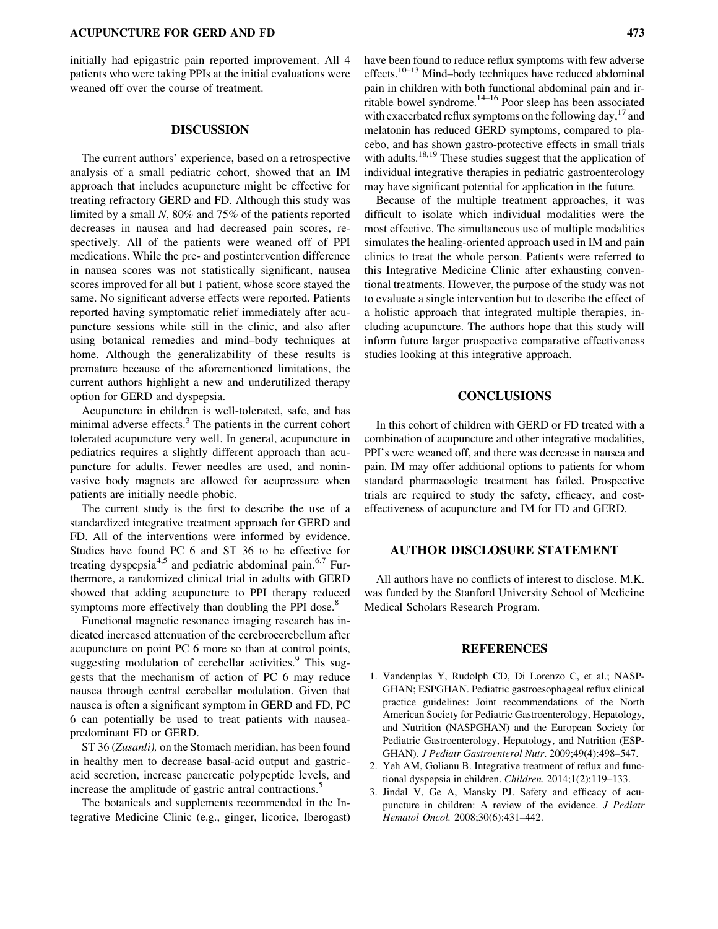## ACUPUNCTURE FOR GERD AND FD 473

initially had epigastric pain reported improvement. All 4 patients who were taking PPIs at the initial evaluations were weaned off over the course of treatment.

### DISCUSSION

The current authors' experience, based on a retrospective analysis of a small pediatric cohort, showed that an IM approach that includes acupuncture might be effective for treating refractory GERD and FD. Although this study was limited by a small N, 80% and 75% of the patients reported decreases in nausea and had decreased pain scores, respectively. All of the patients were weaned off of PPI medications. While the pre- and postintervention difference in nausea scores was not statistically significant, nausea scores improved for all but 1 patient, whose score stayed the same. No significant adverse effects were reported. Patients reported having symptomatic relief immediately after acupuncture sessions while still in the clinic, and also after using botanical remedies and mind–body techniques at home. Although the generalizability of these results is premature because of the aforementioned limitations, the current authors highlight a new and underutilized therapy option for GERD and dyspepsia.

Acupuncture in children is well-tolerated, safe, and has minimal adverse effects. $3$  The patients in the current cohort tolerated acupuncture very well. In general, acupuncture in pediatrics requires a slightly different approach than acupuncture for adults. Fewer needles are used, and noninvasive body magnets are allowed for acupressure when patients are initially needle phobic.

The current study is the first to describe the use of a standardized integrative treatment approach for GERD and FD. All of the interventions were informed by evidence. Studies have found PC 6 and ST 36 to be effective for treating dyspepsia<sup>4,5</sup> and pediatric abdominal pain.<sup>6,7</sup> Furthermore, a randomized clinical trial in adults with GERD showed that adding acupuncture to PPI therapy reduced symptoms more effectively than doubling the PPI dose.<sup>8</sup>

Functional magnetic resonance imaging research has indicated increased attenuation of the cerebrocerebellum after acupuncture on point PC 6 more so than at control points, suggesting modulation of cerebellar activities.<sup>9</sup> This suggests that the mechanism of action of PC 6 may reduce nausea through central cerebellar modulation. Given that nausea is often a significant symptom in GERD and FD, PC 6 can potentially be used to treat patients with nauseapredominant FD or GERD.

ST 36 (Zusanli), on the Stomach meridian, has been found in healthy men to decrease basal-acid output and gastricacid secretion, increase pancreatic polypeptide levels, and increase the amplitude of gastric antral contractions.<sup>5</sup>

The botanicals and supplements recommended in the Integrative Medicine Clinic (e.g., ginger, licorice, Iberogast) have been found to reduce reflux symptoms with few adverse effects.10–13 Mind–body techniques have reduced abdominal pain in children with both functional abdominal pain and irritable bowel syndrome.14–16 Poor sleep has been associated with exacerbated reflux symptoms on the following day,<sup>17</sup> and melatonin has reduced GERD symptoms, compared to placebo, and has shown gastro-protective effects in small trials with adults.<sup>18,19</sup> These studies suggest that the application of individual integrative therapies in pediatric gastroenterology may have significant potential for application in the future.

Because of the multiple treatment approaches, it was difficult to isolate which individual modalities were the most effective. The simultaneous use of multiple modalities simulates the healing-oriented approach used in IM and pain clinics to treat the whole person. Patients were referred to this Integrative Medicine Clinic after exhausting conventional treatments. However, the purpose of the study was not to evaluate a single intervention but to describe the effect of a holistic approach that integrated multiple therapies, including acupuncture. The authors hope that this study will inform future larger prospective comparative effectiveness studies looking at this integrative approach.

## **CONCLUSIONS**

In this cohort of children with GERD or FD treated with a combination of acupuncture and other integrative modalities, PPI's were weaned off, and there was decrease in nausea and pain. IM may offer additional options to patients for whom standard pharmacologic treatment has failed. Prospective trials are required to study the safety, efficacy, and costeffectiveness of acupuncture and IM for FD and GERD.

# AUTHOR DISCLOSURE STATEMENT

All authors have no conflicts of interest to disclose. M.K. was funded by the Stanford University School of Medicine Medical Scholars Research Program.

#### REFERENCES

- 1. Vandenplas Y, Rudolph CD, Di Lorenzo C, et al.; NASP-GHAN; ESPGHAN. Pediatric gastroesophageal reflux clinical practice guidelines: Joint recommendations of the North American Society for Pediatric Gastroenterology, Hepatology, and Nutrition (NASPGHAN) and the European Society for Pediatric Gastroenterology, Hepatology, and Nutrition (ESP-GHAN). [J Pediatr Gastroenterol Nutr](http://online.liebertpub.com/action/showLinks?pmid=19745761&crossref=10.1097%2F01.mpg.0000361306.15727.54). 2009;49(4):498–547.
- 2. Yeh AM, Golianu B. Integrative treatment of reflux and functional dyspepsia in children. [Children](http://online.liebertpub.com/action/showLinks?crossref=10.3390%2Fchildren1020119). 2014;1(2):119–133.
- 3. Jindal V, Ge A, Mansky PJ. Safety and efficacy of acupuncture in children: A review of the evidence. [J Pediatr](http://online.liebertpub.com/action/showLinks?pmid=18525459&crossref=10.1097%2FMPH.0b013e318165b2cc) [Hematol Oncol](http://online.liebertpub.com/action/showLinks?pmid=18525459&crossref=10.1097%2FMPH.0b013e318165b2cc). 2008;30(6):431–442.